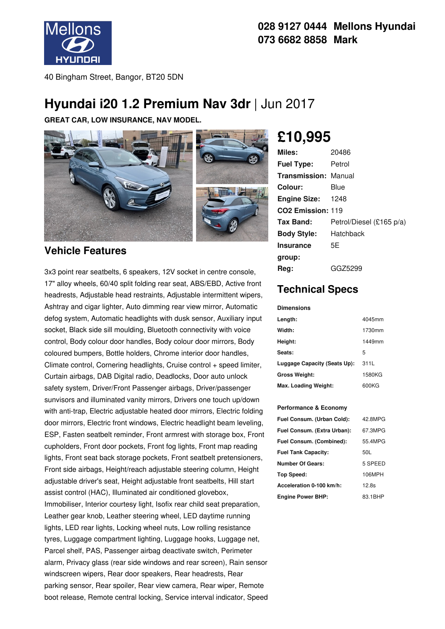

### **028 9127 0444 Mellons Hyundai 073 6682 8858 Mark**

40 Bingham Street, Bangor, BT20 5DN

# **Hyundai i20 1.2 Premium Nav 3dr** | Jun 2017

**GREAT CAR, LOW INSURANCE, NAV MODEL.**



### **Vehicle Features**

3x3 point rear seatbelts, 6 speakers, 12V socket in centre console, 17" alloy wheels, 60/40 split folding rear seat, ABS/EBD, Active front headrests, Adjustable head restraints, Adjustable intermittent wipers, Ashtray and cigar lighter, Auto dimming rear view mirror, Automatic defog system, Automatic headlights with dusk sensor, Auxiliary input socket, Black side sill moulding, Bluetooth connectivity with voice control, Body colour door handles, Body colour door mirrors, Body coloured bumpers, Bottle holders, Chrome interior door handles, Climate control, Cornering headlights, Cruise control + speed limiter, Curtain airbags, DAB Digital radio, Deadlocks, Door auto unlock safety system, Driver/Front Passenger airbags, Driver/passenger sunvisors and illuminated vanity mirrors, Drivers one touch up/down with anti-trap, Electric adjustable heated door mirrors, Electric folding door mirrors, Electric front windows, Electric headlight beam leveling, ESP, Fasten seatbelt reminder, Front armrest with storage box, Front cupholders, Front door pockets, Front fog lights, Front map reading lights, Front seat back storage pockets, Front seatbelt pretensioners, Front side airbags, Height/reach adjustable steering column, Height adjustable driver's seat, Height adjustable front seatbelts, Hill start assist control (HAC), Illuminated air conditioned glovebox, Immobiliser, Interior courtesy light, Isofix rear child seat preparation, Leather gear knob, Leather steering wheel, LED daytime running lights, LED rear lights, Locking wheel nuts, Low rolling resistance tyres, Luggage compartment lighting, Luggage hooks, Luggage net, Parcel shelf, PAS, Passenger airbag deactivate switch, Perimeter alarm, Privacy glass (rear side windows and rear screen), Rain sensor windscreen wipers, Rear door speakers, Rear headrests, Rear parking sensor, Rear spoiler, Rear view camera, Rear wiper, Remote boot release, Remote central locking, Service interval indicator, Speed

# **£10,995**

| Miles:                        | 20486                    |
|-------------------------------|--------------------------|
| <b>Fuel Type:</b>             | Petrol                   |
| <b>Transmission: Manual</b>   |                          |
| Colour:                       | Blue                     |
| <b>Engine Size: 1248</b>      |                          |
| CO <sub>2</sub> Emission: 119 |                          |
| Tax Band:                     | Petrol/Diesel (£165 p/a) |
| <b>Body Style:</b>            | Hatchback                |
| <b>Insurance</b>              | 5E                       |
| group:                        |                          |
| Reg:                          | GGZ5299                  |

## **Technical Specs**

#### **Dimensions**

| Length:                      | 4045mm |
|------------------------------|--------|
| Width:                       | 1730mm |
| Height:                      | 1449mm |
| Seats:                       | 5      |
| Luggage Capacity (Seats Up): | 311L   |
| <b>Gross Weight:</b>         | 1580KG |
| Max. Loading Weight:         | 600KG  |

#### **Performance & Economy**

| Fuel Consum. (Urban Cold):  | 42.8MPG |
|-----------------------------|---------|
| Fuel Consum. (Extra Urban): | 67.3MPG |
| Fuel Consum. (Combined):    | 55.4MPG |
| <b>Fuel Tank Capacity:</b>  | 50L     |
| Number Of Gears:            | 5 SPEED |
| <b>Top Speed:</b>           | 106MPH  |
| Acceleration 0-100 km/h:    | 12.8s   |
| <b>Engine Power BHP:</b>    | 83.1BHP |